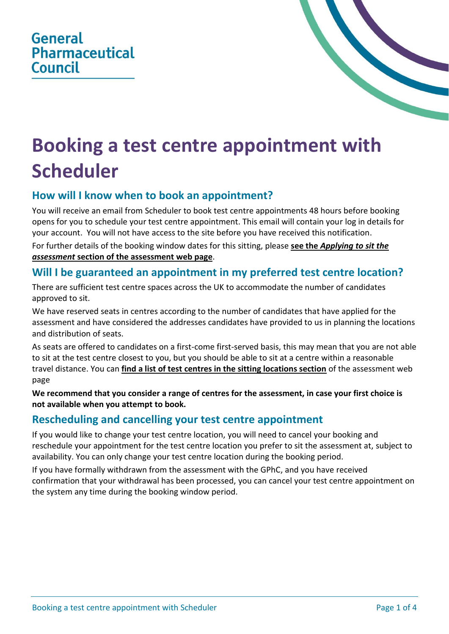## General **Pharmaceutical** Council



# **Booking a test centre appointment with Scheduler**

## **How will I know when to book an appointment?**

You will receive an email from Scheduler to book test centre appointments 48 hours before booking opens for you to schedule your test centre appointment. This email will contain your log in details for your account. You will not have access to the site before you have received this notification.

For further details of the booking window dates for this sitting, please **see the** *[Applying to sit the](https://www.pharmacyregulation.org/education/pharmacist-foundation-training-scheme/registration-assessment/sitting-june-2022#Applying-to-sit)  assessment* **[section of the assessment](https://www.pharmacyregulation.org/education/pharmacist-foundation-training-scheme/registration-assessment/sitting-june-2022#Applying-to-sit) web page**.

## **Will I be guaranteed an appointment in my preferred test centre location?**

There are sufficient test centre spaces across the UK to accommodate the number of candidates approved to sit.

We have reserved seats in centres according to the number of candidates that have applied for the assessment and have considered the addresses candidates have provided to us in planning the locations and distribution of seats.

As seats are offered to candidates on a first-come first-served basis, this may mean that you are not able to sit at the test centre closest to you, but you should be able to sit at a centre within a reasonable travel distance. You can **[find a list of test centres in the sitting locations section](https://www.pharmacyregulation.org/education/pharmacist-foundation-training-scheme/registration-assessment/sitting-june-2022#Sitting-locations)** of the assessment web page

**We recommend that you consider a range of centres for the assessment, in case your first choice is not available when you attempt to book.**

### **Rescheduling and cancelling your test centre appointment**

If you would like to change your test centre location, you will need to cancel your booking and reschedule your appointment for the test centre location you prefer to sit the assessment at, subject to availability. You can only change your test centre location during the booking period.

If you have formally withdrawn from the assessment with the GPhC, and you have received confirmation that your withdrawal has been processed, you can cancel your test centre appointment on the system any time during the booking window period.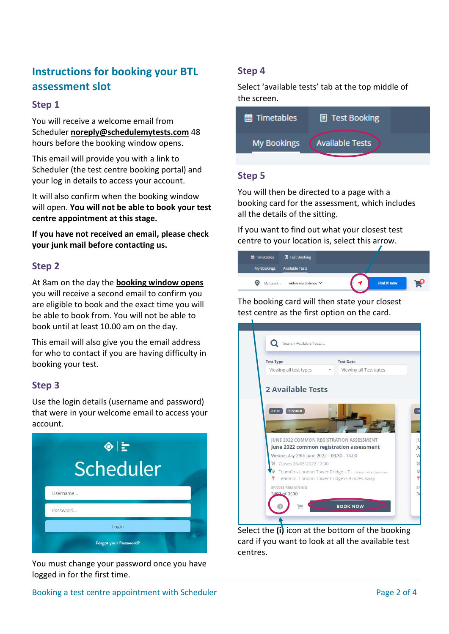## **Instructions for booking your BTL assessment slot**

#### **Step 1**

You will receive a welcome email from Scheduler **[noreply@schedulemytests.com](mailto:noreply@schedulemytests.com)** 48 hours before the booking window opens.

This email will provide you with a link to Scheduler (the test centre booking portal) and your log in details to access your account.

It will also confirm when the booking window will open. **You will not be able to book your test centre appointment at this stage.**

**If you have not received an email, please check your junk mail before contacting us.**

#### **Step 2**

At 8am on the day the **[booking window opens](https://www.pharmacyregulation.org/education/key-dates-foundation-training-scheme)** you will receive a second email to confirm you are eligible to book and the exact time you will be able to book from. You will not be able to book until at least 10.00 am on the day.

This email will also give you the email address for who to contact if you are having difficulty in booking your test.

#### **Step 3**

Use the login details (username and password) that were in your welcome email to access your account.

|          | $\circ$ $\vdash$<br><b>Scheduler</b> |  |
|----------|--------------------------------------|--|
| Username |                                      |  |
| Password |                                      |  |
|          | Login                                |  |
|          | <b>Forgot your Password?</b>         |  |

You must change your password once you have logged in for the first time.

#### **Step 4**

Select 'available tests' tab at the top middle of the screen.

| He Timetables      | <b>■ Test Booking</b>  |
|--------------------|------------------------|
| <b>My Bookings</b> | <b>Available Tests</b> |

#### **Step 5**

You will then be directed to a page with a booking card for the assessment, which includes all the details of the sitting.

If you want to find out what your closest test centre to your location is, select this arrow.



The booking card will then state your closest test centre as the first option on the card.



Select the **(i)** icon at the bottom of the booking card if you want to look at all the available test centres.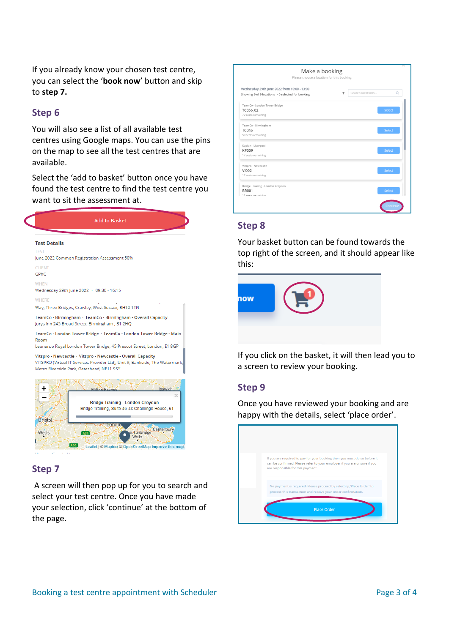If you already know your chosen test centre, you can select the '**book now**' button and skip to **step 7.**

#### **Step 6**

You will also see a list of all available test centres using Google maps. You can use the pins on the map to see all the test centres that are available.

Select the 'add to basket' button once you have found the test centre to find the test centre you want to sit the assessment at.



#### **Step 7**

A36

A screen will then pop up for you to search and select your test centre. Once you have made your selection, click 'continue' at the bottom of the page.

٠ Wells

Leaflet | © Mapbox © OpenStreetMap Improve this ma

| Wednesday 29th June 2022 from 10:00 - 13:00<br>Showing 9 of 9 locations · 0 selected for booking | Y | Search locations | $\alpha$      |
|--------------------------------------------------------------------------------------------------|---|------------------|---------------|
| TeamCo - London Tower Bridge                                                                     |   |                  |               |
| TC056_02<br>79 seats remaining                                                                   |   |                  | Select        |
| TeamCo - Birmingham                                                                              |   |                  |               |
| <b>TC046</b>                                                                                     |   |                  | <b>Select</b> |
| 50 seats remaining                                                                               |   |                  |               |
| Kaplan - Liverpool                                                                               |   |                  |               |
| KP009                                                                                            |   |                  | Select        |
| 17 seats remaining                                                                               |   |                  |               |
| Vitspro - Newcastle                                                                              |   |                  |               |
| VI002                                                                                            |   |                  | Select        |
| 12 seats remaining                                                                               |   |                  |               |
| Bridge Training - London Croydon                                                                 |   |                  |               |
| <b>BR001</b>                                                                                     |   |                  | Select        |

#### **Step 8**

Your basket button can be found towards the top right of the screen, and it should appear like this:

| now |  |
|-----|--|
|     |  |

If you click on the basket, it will then lead you to a screen to review your booking.

#### **Step 9**

Once you have reviewed your booking and are happy with the details, select 'place order'.

| If you are required to pay for your booking then you must do so before it<br>can be confirmed. Please refer to your employer if you are unsure if you<br>are responsible for this payment. |
|--------------------------------------------------------------------------------------------------------------------------------------------------------------------------------------------|
| No payment is required. Please proceed by selecting 'Place Order' to<br>process this transaction and receive your order confirmation.                                                      |
| <b>Place Order</b>                                                                                                                                                                         |